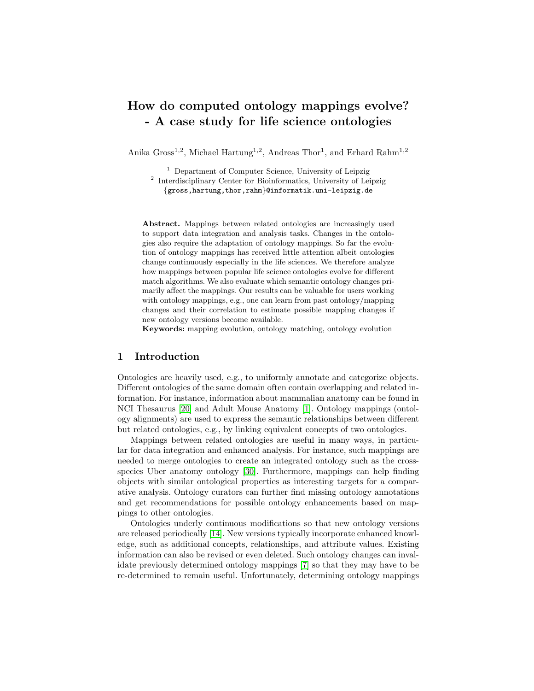# How do computed ontology mappings evolve? - A case study for life science ontologies

Anika Gross<sup>1,2</sup>, Michael Hartung<sup>1,2</sup>, Andreas Thor<sup>1</sup>, and Erhard Rahm<sup>1,2</sup>

<sup>1</sup> Department of Computer Science, University of Leipzig <sup>2</sup> Interdisciplinary Center for Bioinformatics, University of Leipzig {gross,hartung,thor,rahm}@informatik.uni-leipzig.de

Abstract. Mappings between related ontologies are increasingly used to support data integration and analysis tasks. Changes in the ontologies also require the adaptation of ontology mappings. So far the evolution of ontology mappings has received little attention albeit ontologies change continuously especially in the life sciences. We therefore analyze how mappings between popular life science ontologies evolve for different match algorithms. We also evaluate which semantic ontology changes primarily affect the mappings. Our results can be valuable for users working with ontology mappings, e.g., one can learn from past ontology/mapping changes and their correlation to estimate possible mapping changes if new ontology versions become available.

Keywords: mapping evolution, ontology matching, ontology evolution

## 1 Introduction

Ontologies are heavily used, e.g., to uniformly annotate and categorize objects. Different ontologies of the same domain often contain overlapping and related information. For instance, information about mammalian anatomy can be found in NCI Thesaurus [\[20\]](#page-11-0) and Adult Mouse Anatomy [\[1\]](#page-10-0). Ontology mappings (ontology alignments) are used to express the semantic relationships between different but related ontologies, e.g., by linking equivalent concepts of two ontologies.

Mappings between related ontologies are useful in many ways, in particular for data integration and enhanced analysis. For instance, such mappings are needed to merge ontologies to create an integrated ontology such as the crossspecies Uber anatomy ontology [\[30\]](#page-11-1). Furthermore, mappings can help finding objects with similar ontological properties as interesting targets for a comparative analysis. Ontology curators can further find missing ontology annotations and get recommendations for possible ontology enhancements based on mappings to other ontologies.

Ontologies underly continuous modifications so that new ontology versions are released periodically [\[14\]](#page-11-2). New versions typically incorporate enhanced knowledge, such as additional concepts, relationships, and attribute values. Existing information can also be revised or even deleted. Such ontology changes can invalidate previously determined ontology mappings [\[7\]](#page-11-3) so that they may have to be re-determined to remain useful. Unfortunately, determining ontology mappings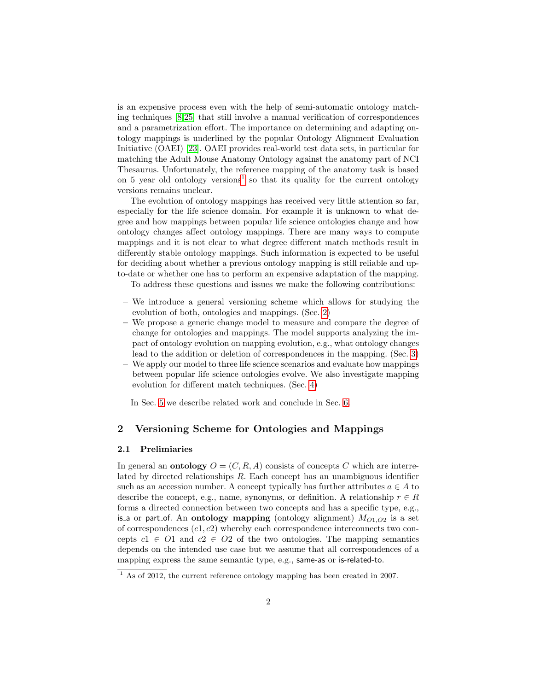is an expensive process even with the help of semi-automatic ontology matching techniques [\[8](#page-11-4)[,25\]](#page-11-5) that still involve a manual verification of correspondences and a parametrization effort. The importance on determining and adapting ontology mappings is underlined by the popular Ontology Alignment Evaluation Initiative (OAEI) [\[23\]](#page-11-6). OAEI provides real-world test data sets, in particular for matching the Adult Mouse Anatomy Ontology against the anatomy part of NCI Thesaurus. Unfortunately, the reference mapping of the anatomy task is based on 5 year old ontology versions<sup>[1](#page-1-0)</sup> so that its quality for the current ontology versions remains unclear.

The evolution of ontology mappings has received very little attention so far, especially for the life science domain. For example it is unknown to what degree and how mappings between popular life science ontologies change and how ontology changes affect ontology mappings. There are many ways to compute mappings and it is not clear to what degree different match methods result in differently stable ontology mappings. Such information is expected to be useful for deciding about whether a previous ontology mapping is still reliable and upto-date or whether one has to perform an expensive adaptation of the mapping.

To address these questions and issues we make the following contributions:

- We introduce a general versioning scheme which allows for studying the evolution of both, ontologies and mappings. (Sec. [2\)](#page-1-1)
- We propose a generic change model to measure and compare the degree of change for ontologies and mappings. The model supports analyzing the impact of ontology evolution on mapping evolution, e.g., what ontology changes lead to the addition or deletion of correspondences in the mapping. (Sec. [3\)](#page-2-0)
- We apply our model to three life science scenarios and evaluate how mappings between popular life science ontologies evolve. We also investigate mapping evolution for different match techniques. (Sec. [4\)](#page-6-0)

In Sec. [5](#page-9-0) we describe related work and conclude in Sec. [6.](#page-10-1)

## <span id="page-1-1"></span>2 Versioning Scheme for Ontologies and Mappings

### 2.1 Prelimiaries

In general an **ontology**  $O = (C, R, A)$  consists of concepts C which are interrelated by directed relationships R. Each concept has an unambiguous identifier such as an accession number. A concept typically has further attributes  $a \in A$  to describe the concept, e.g., name, synonyms, or definition. A relationship  $r \in R$ forms a directed connection between two concepts and has a specific type, e.g., is a or part of. An ontology mapping (ontology alignment)  $M_{O1,O2}$  is a set of correspondences  $(c1, c2)$  whereby each correspondence interconnects two concepts  $c_1 \in O_1$  and  $c_2 \in O_2$  of the two ontologies. The mapping semantics depends on the intended use case but we assume that all correspondences of a mapping express the same semantic type, e.g., same-as or is-related-to.

<span id="page-1-0"></span> $\frac{1}{1}$  As of 2012, the current reference ontology mapping has been created in 2007.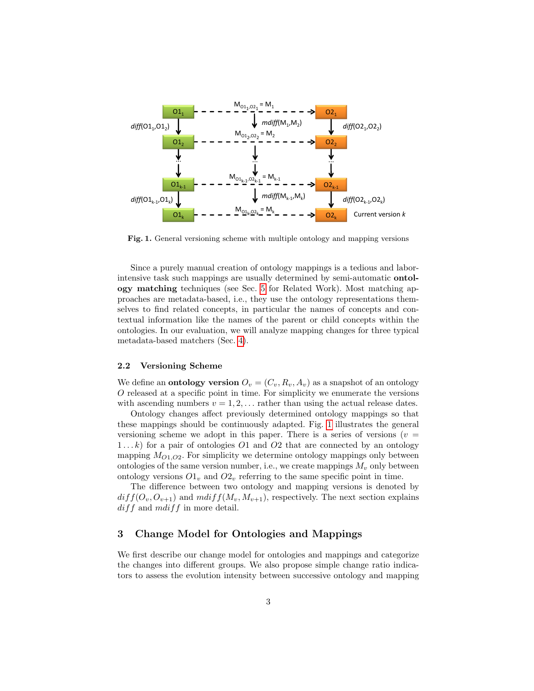

<span id="page-2-1"></span>Fig. 1. General versioning scheme with multiple ontology and mapping versions

Since a purely manual creation of ontology mappings is a tedious and laborintensive task such mappings are usually determined by semi-automatic ontology matching techniques (see Sec. [5](#page-9-0) for Related Work). Most matching approaches are metadata-based, i.e., they use the ontology representations themselves to find related concepts, in particular the names of concepts and contextual information like the names of the parent or child concepts within the ontologies. In our evaluation, we will analyze mapping changes for three typical metadata-based matchers (Sec. [4\)](#page-6-0).

#### 2.2 Versioning Scheme

We define an **ontology version**  $O_v = (C_v, R_v, A_v)$  as a snapshot of an ontology O released at a specific point in time. For simplicity we enumerate the versions with ascending numbers  $v = 1, 2, \ldots$  rather than using the actual release dates.

Ontology changes affect previously determined ontology mappings so that these mappings should be continuously adapted. Fig. [1](#page-2-1) illustrates the general versioning scheme we adopt in this paper. There is a series of versions ( $v =$  $1...k$  for a pair of ontologies  $O1$  and  $O2$  that are connected by an ontology mapping  $M<sub>O1,O2</sub>$ . For simplicity we determine ontology mappings only between ontologies of the same version number, i.e., we create mappings  $M_v$  only between ontology versions  $O_1$  and  $O_2$  referring to the same specific point in time.

The difference between two ontology and mapping versions is denoted by  $diff(O_v, O_{v+1})$  and  $mdiff(M_v, M_{v+1})$ , respectively. The next section explains  $diff$  and  $mdiff$  in more detail.

## <span id="page-2-0"></span>3 Change Model for Ontologies and Mappings

We first describe our change model for ontologies and mappings and categorize the changes into different groups. We also propose simple change ratio indicators to assess the evolution intensity between successive ontology and mapping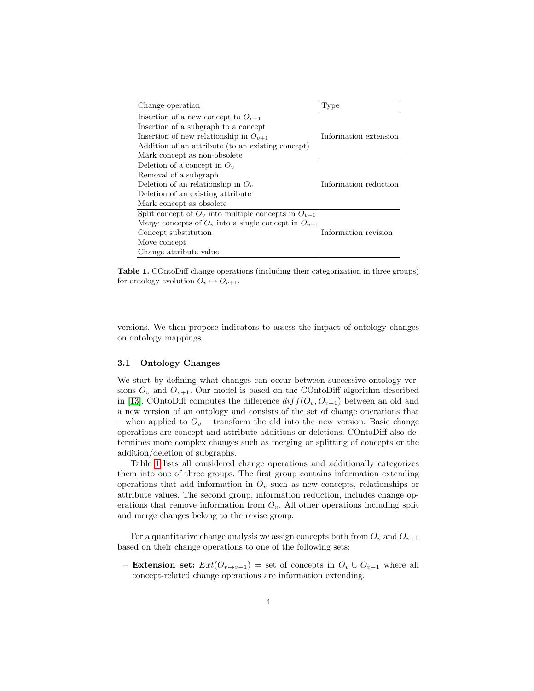| Change operation                                           | Type                  |
|------------------------------------------------------------|-----------------------|
| Insertion of a new concept to $O_{v+1}$                    |                       |
| Insertion of a subgraph to a concept                       |                       |
| Insertion of new relationship in $O_{n+1}$                 | Information extension |
| Addition of an attribute (to an existing concept)          |                       |
| Mark concept as non-obsolete                               |                       |
| Deletion of a concept in $O_n$                             |                       |
| Removal of a subgraph                                      |                       |
| Deletion of an relationship in $O_v$                       | Information reduction |
| Deletion of an existing attribute                          |                       |
| Mark concept as obsolete                                   |                       |
| Split concept of $O_v$ into multiple concepts in $O_{v+1}$ |                       |
| Merge concepts of $O_v$ into a single concept in $O_{v+1}$ |                       |
| Concept substitution                                       | Information revision  |
| Move concept                                               |                       |
| Change attribute value                                     |                       |
|                                                            |                       |

<span id="page-3-0"></span>Table 1. COntoDiff change operations (including their categorization in three groups) for ontology evolution  $O_v \mapsto O_{v+1}$ .

versions. We then propose indicators to assess the impact of ontology changes on ontology mappings.

### 3.1 Ontology Changes

We start by defining what changes can occur between successive ontology versions  $O_v$  and  $O_{v+1}$ . Our model is based on the COntoDiff algorithm described in [\[13\]](#page-11-7). COntoDiff computes the difference  $diff(O_v, O_{v+1})$  between an old and a new version of an ontology and consists of the set of change operations that – when applied to  $O_v$  – transform the old into the new version. Basic change operations are concept and attribute additions or deletions. COntoDiff also determines more complex changes such as merging or splitting of concepts or the addition/deletion of subgraphs.

Table [1](#page-3-0) lists all considered change operations and additionally categorizes them into one of three groups. The first group contains information extending operations that add information in  $O_v$  such as new concepts, relationships or attribute values. The second group, information reduction, includes change operations that remove information from  $O<sub>v</sub>$ . All other operations including split and merge changes belong to the revise group.

For a quantitative change analysis we assign concepts both from  $O_v$  and  $O_{v+1}$ based on their change operations to one of the following sets:

– Extension set:  $Ext(O_{v\mapsto v+1})$  = set of concepts in  $O_v \cup O_{v+1}$  where all concept-related change operations are information extending.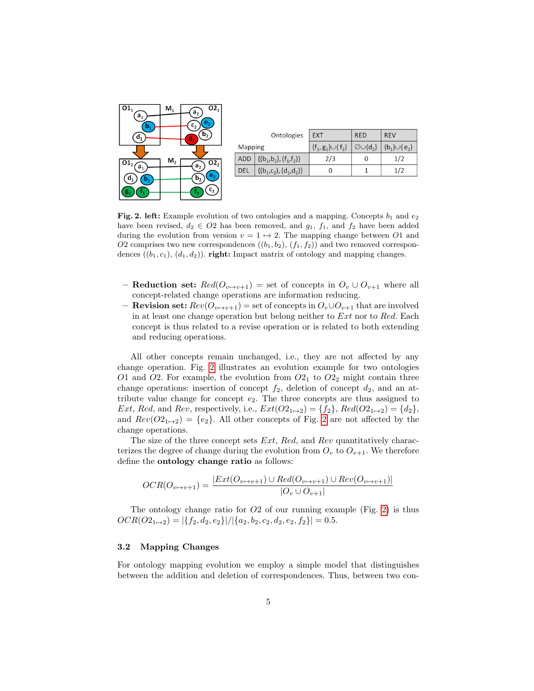

|         | Ontologies                                                                     | <b>EXT</b>                  | <b>RED</b>                 | <b>REV</b>         |  |
|---------|--------------------------------------------------------------------------------|-----------------------------|----------------------------|--------------------|--|
| Mapping |                                                                                | $\{f_1, g_1\} \cup \{f_2\}$ | $\varnothing \cup \{d_2\}$ | ${b_1} \cup {e_2}$ |  |
| ADD     | $\left\{ \{(\mathsf{b}_1,\mathsf{b}_2),(\mathsf{f}_1,\mathsf{f}_2)\} \right\}$ | 2/3                         |                            | 1/2                |  |
| del     | $\{(b_1, c_2), (d_1, d_2)\}\$                                                  |                             |                            | 1/2                |  |
|         |                                                                                |                             |                            |                    |  |

<span id="page-4-0"></span>Fig. 2. left: Example evolution of two ontologies and a mapping. Concepts  $b_1$  and  $e_2$ have been revised,  $d_2 \in O2$  has been removed, and  $g_1$ ,  $f_1$ , and  $f_2$  have been added during the evolution from version  $v = 1 \mapsto 2$ . The mapping change between O1 and O2 comprises two new correspondences  $((b_1, b_2), (f_1, f_2))$  and two removed correspondences  $((b_1, c_1), (d_1, d_2))$ . **right:** Impact matrix of ontology and mapping changes.

- **Reduction set:**  $Red(O_{v\mapsto v+1})$  = set of concepts in  $O_v \cup O_{v+1}$  where all concept-related change operations are information reducing.
- **Revision set:**  $Rev(O_{v \mapsto v+1})$  = set of concepts in  $O_v \cup O_{v+1}$  that are involved in at least one change operation but belong neither to  $Ext$  nor to  $Red$ . Each concept is thus related to a revise operation or is related to both extending and reducing operations.

All other concepts remain unchanged, i.e., they are not affected by any change operation. Fig. [2](#page-4-0) illustrates an evolution example for two ontologies O1 and O2. For example, the evolution from  $O_{1}$  to  $O_{2}$  might contain three change operations: insertion of concept  $f_2$ , deletion of concept  $d_2$ , and an attribute value change for concept  $e_2$ . The three concepts are thus assigned to Ext, Red, and Rev, respectively, i.e.,  $Ext(O2_{1\rightarrow 2}) = \{f_2\}$ ,  $Red(O2_{1\rightarrow 2}) = \{d_2\}$ , and  $Rev(O2_{1\rightarrow 2}) = \{e_2\}$  $Rev(O2_{1\rightarrow 2}) = \{e_2\}$  $Rev(O2_{1\rightarrow 2}) = \{e_2\}$ . All other concepts of Fig. 2 are not affected by the change operations.

The size of the three concept sets Ext, Red, and Rev quantitatively characterizes the degree of change during the evolution from  $O_v$  to  $O_{v+1}$ . We therefore define the ontology change ratio as follows:

$$
OCR(O_{v \mapsto v+1}) = \frac{|Ext(O_{v \mapsto v+1}) \cup Red(O_{v \mapsto v+1}) \cup Rev(O_{v \mapsto v+1})|}{|O_v \cup O_{v+1}|}
$$

The ontology change ratio for  $O2$  of our running example (Fig. [2\)](#page-4-0) is thus  $OCR(O2_{1\mapsto2}) = |\{f_2, d_2, e_2\}|/|\{a_2, b_2, c_2, d_2, e_2, f_2\}| = 0.5.$ 

### 3.2 Mapping Changes

For ontology mapping evolution we employ a simple model that distinguishes between the addition and deletion of correspondences. Thus, between two con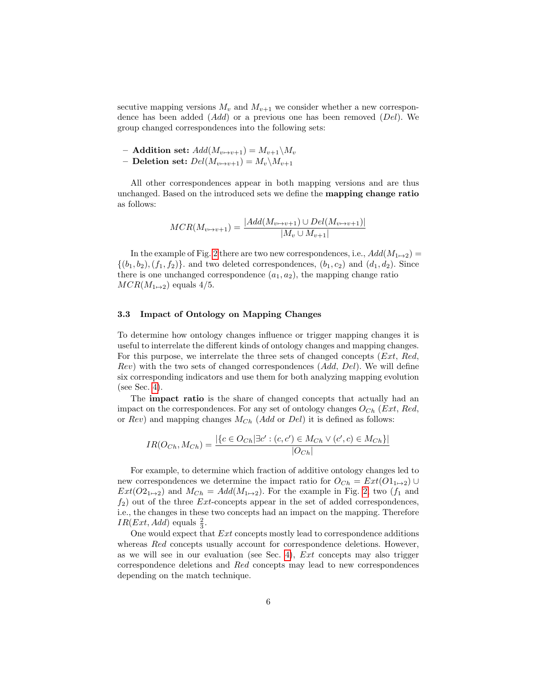secutive mapping versions  $M_v$  and  $M_{v+1}$  we consider whether a new correspondence has been added  $(Add)$  or a previous one has been removed  $(Del)$ . We group changed correspondences into the following sets:

– Addition set:  $Add(M_{v\mapsto v+1}) = M_{v+1}\backslash M_v$ 

– Deletion set:  $Del(M_{v\mapsto v+1}) = M_v\backslash M_{v+1}$ 

All other correspondences appear in both mapping versions and are thus unchanged. Based on the introduced sets we define the mapping change ratio as follows:

$$
MCR(M_{v \to v+1}) = \frac{|Add(M_{v \to v+1}) \cup Del(M_{v \to v+1})|}{|M_v \cup M_{v+1}|}
$$

In the example of Fig. [2](#page-4-0) there are two new correspondences, i.e.,  $Add(M_{1\mapsto 2})$  =  $\{(b_1, b_2), (f_1, f_2)\}\$  and two deleted correspondences,  $(b_1, c_2)$  and  $(d_1, d_2)$ . Since there is one unchanged correspondence  $(a_1, a_2)$ , the mapping change ratio  $MCR(M_{1\rightarrow2})$  equals 4/5.

## <span id="page-5-0"></span>3.3 Impact of Ontology on Mapping Changes

To determine how ontology changes influence or trigger mapping changes it is useful to interrelate the different kinds of ontology changes and mapping changes. For this purpose, we interrelate the three sets of changed concepts (Ext, Red,  $Rev$ ) with the two sets of changed correspondences  $(Add, Del)$ . We will define six corresponding indicators and use them for both analyzing mapping evolution (see Sec. [4\)](#page-6-0).

The impact ratio is the share of changed concepts that actually had an impact on the correspondences. For any set of ontology changes  $O_{Ch}$  (*Ext*, *Red*, or  $Rev$ ) and mapping changes  $M_{Ch}$  (Add or Del) it is defined as follows:

$$
IR(O_{Ch}, M_{Ch}) = \frac{|\{c \in O_{Ch} | \exists c' : (c, c') \in M_{Ch} \lor (c', c) \in M_{Ch}\}|}{|O_{Ch}|}
$$

For example, to determine which fraction of additive ontology changes led to new correspondences we determine the impact ratio for  $O_{Ch} = Ext(O1_{1\mapsto 2}) \cup$  $Ext(O_{1\mapsto 2})$  and  $M_{Ch} = Add(M_{1\mapsto 2})$ . For the example in Fig. [2,](#page-4-0) two  $(f_1$  and  $f_2$ ) out of the three *Ext*-concepts appear in the set of added correspondences, i.e., the changes in these two concepts had an impact on the mapping. Therefore  $IR(Ext, Add)$  equals  $\frac{2}{3}$ .

One would expect that Ext concepts mostly lead to correspondence additions whereas Red concepts usually account for correspondence deletions. However, as we will see in our evaluation (see Sec. [4\)](#page-6-0),  $Ext$  concepts may also trigger correspondence deletions and Red concepts may lead to new correspondences depending on the match technique.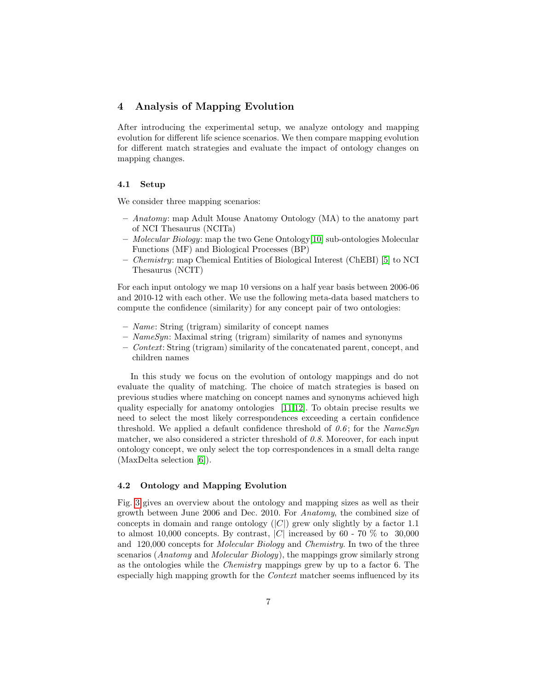## <span id="page-6-0"></span>4 Analysis of Mapping Evolution

After introducing the experimental setup, we analyze ontology and mapping evolution for different life science scenarios. We then compare mapping evolution for different match strategies and evaluate the impact of ontology changes on mapping changes.

## 4.1 Setup

We consider three mapping scenarios:

- $-$  Anatomy: map Adult Mouse Anatomy Ontology (MA) to the anatomy part of NCI Thesaurus (NCITa)
- Molecular Biology: map the two Gene Ontology[\[10\]](#page-11-8) sub-ontologies Molecular Functions (MF) and Biological Processes (BP)
- Chemistry: map Chemical Entities of Biological Interest (ChEBI) [\[5\]](#page-10-2) to NCI Thesaurus (NCIT)

For each input ontology we map 10 versions on a half year basis between 2006-06 and 2010-12 with each other. We use the following meta-data based matchers to compute the confidence (similarity) for any concept pair of two ontologies:

- Name: String (trigram) similarity of concept names
- $-$  NameSyn: Maximal string (trigram) similarity of names and synonyms
- Context: String (trigram) similarity of the concatenated parent, concept, and children names

In this study we focus on the evolution of ontology mappings and do not evaluate the quality of matching. The choice of match strategies is based on previous studies where matching on concept names and synonyms achieved high quality especially for anatomy ontologies [\[11,](#page-11-9)[12\]](#page-11-10). To obtain precise results we need to select the most likely correspondences exceeding a certain confidence threshold. We applied a default confidence threshold of  $0.6$ ; for the NameSyn matcher, we also considered a stricter threshold of  $0.8$ . Moreover, for each input ontology concept, we only select the top correspondences in a small delta range (MaxDelta selection [\[6\]](#page-11-11)).

## 4.2 Ontology and Mapping Evolution

Fig. [3](#page-7-0) gives an overview about the ontology and mapping sizes as well as their growth between June 2006 and Dec. 2010. For Anatomy, the combined size of concepts in domain and range ontology  $(|C|)$  grew only slightly by a factor 1.1 to almost 10,000 concepts. By contrast,  $|C|$  increased by 60 - 70 % to 30,000 and 120,000 concepts for Molecular Biology and Chemistry. In two of the three scenarios (Anatomy and Molecular Biology), the mappings grow similarly strong as the ontologies while the Chemistry mappings grew by up to a factor 6. The especially high mapping growth for the Context matcher seems influenced by its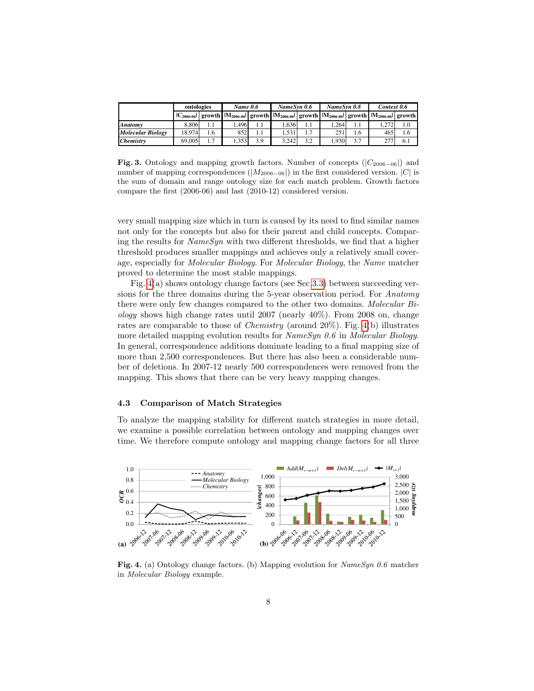|                          | ontologies      |                      | <b>Name 0.6</b> |     | NameSvn 0.6 |     | NameSvn 0.8                                                                                        |     | Context 0.6 |     |
|--------------------------|-----------------|----------------------|-----------------|-----|-------------|-----|----------------------------------------------------------------------------------------------------|-----|-------------|-----|
|                          | $ C_{2006-06} $ |                      |                 |     |             |     | growth $ M_{2006-06} $ growth $ M_{2006-06} $ growth $ M_{2006-06} $ growth $ M_{2006-06} $ growth |     |             |     |
| <b>Anatomy</b>           | 8.806           | 1.1                  | .496            | I.I | .636        |     | .264                                                                                               | 1.1 |             | 1.0 |
| <b>Molecular Biology</b> | 18.974          | 1.6                  | 852             | 1.1 | .531        | 1.7 | 251                                                                                                | 1.6 | 465         | 1.6 |
| <b>Chemistry</b>         | 69,005          | $\mathcal{L}$<br>1.1 | .353            | 3.9 | 3.242       | 3.2 | 1.930                                                                                              | 3.7 |             | 6.1 |

<span id="page-7-0"></span>Fig. 3. Ontology and mapping growth factors. Number of concepts  $(|C_{2006-06}|)$  and number of mapping correspondences ( $|M_{2006-06}|$ ) in the first considered version.  $|C|$  is the sum of domain and range ontology size for each match problem. Growth factors compare the first (2006-06) and last (2010-12) considered version.

very small mapping size which in turn is caused by its need to find similar names not only for the concepts but also for their parent and child concepts. Comparing the results for  $NameSyn$  with two different thresholds, we find that a higher threshold produces smaller mappings and achieves only a relatively small coverage, especially for Molecular Biology. For Molecular Biology, the Name matcher proved to determine the most stable mappings.

Fig. [4\(](#page-7-1)a) shows ontology change factors (see Sec[.3.3\)](#page-5-0) between succeeding versions for the three domains during the 5-year observation period. For Anatomy there were only few changes compared to the other two domains. Molecular Bi*ology* shows high change rates until 2007 (nearly  $40\%$ ). From 2008 on, change rates are comparable to those of Chemistry (around 20%). Fig. [4\(](#page-7-1)b) illustrates more detailed mapping evolution results for NameSyn 0.6 in Molecular Biology. In general, correspondence additions dominate leading to a final mapping size of more than 2,500 correspondences. But there has also been a considerable number of deletions. In 2007-12 nearly 500 correspondences were removed from the mapping. This shows that there can be very heavy mapping changes.

#### 4.3 Comparison of Match Strategies

To analyze the mapping stability for different match strategies in more detail, we examine a possible correlation between ontology and mapping changes over time. We therefore compute ontology and mapping change factors for all three



<span id="page-7-1"></span>Fig. 4. (a) Ontology change factors. (b) Mapping evolution for NameSyn 0.6 matcher in Molecular Biology example.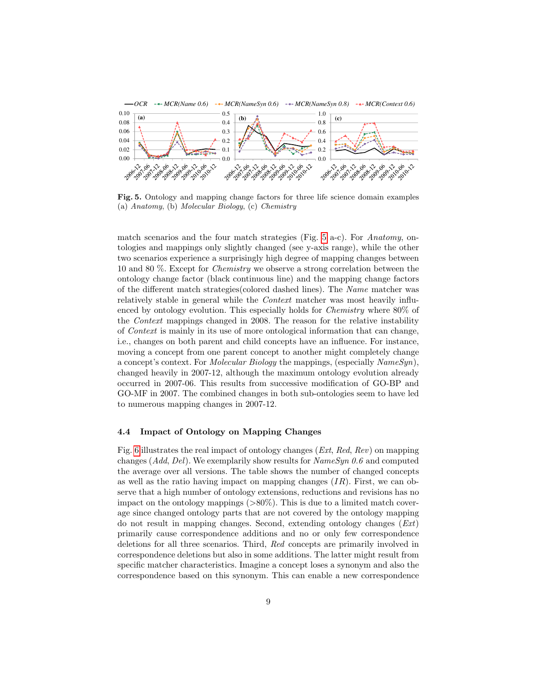

<span id="page-8-0"></span>Fig. 5. Ontology and mapping change factors for three life science domain examples (a) Anatomy, (b) Molecular Biology, (c) Chemistry

match scenarios and the four match strategies (Fig.  $5$  a-c). For Anatomy, ontologies and mappings only slightly changed (see y-axis range), while the other two scenarios experience a surprisingly high degree of mapping changes between 10 and 80 %. Except for Chemistry we observe a strong correlation between the ontology change factor (black continuous line) and the mapping change factors of the different match strategies(colored dashed lines). The Name matcher was relatively stable in general while the Context matcher was most heavily influenced by ontology evolution. This especially holds for Chemistry where 80% of the Context mappings changed in 2008. The reason for the relative instability of Context is mainly in its use of more ontological information that can change, i.e., changes on both parent and child concepts have an influence. For instance, moving a concept from one parent concept to another might completely change a concept's context. For Molecular Biology the mappings, (especially NameSyn), changed heavily in 2007-12, although the maximum ontology evolution already occurred in 2007-06. This results from successive modification of GO-BP and GO-MF in 2007. The combined changes in both sub-ontologies seem to have led to numerous mapping changes in 2007-12.

#### 4.4 Impact of Ontology on Mapping Changes

Fig. [6](#page-9-1) illustrates the real impact of ontology changes (Ext, Red, Rev) on mapping changes (Add, Del). We exemplarily show results for  $NameSyn 0.6$  and computed the average over all versions. The table shows the number of changed concepts as well as the ratio having impact on mapping changes  $(IR)$ . First, we can observe that a high number of ontology extensions, reductions and revisions has no impact on the ontology mappings  $(>80\%)$ . This is due to a limited match coverage since changed ontology parts that are not covered by the ontology mapping do not result in mapping changes. Second, extending ontology changes (Ext) primarily cause correspondence additions and no or only few correspondence deletions for all three scenarios. Third, Red concepts are primarily involved in correspondence deletions but also in some additions. The latter might result from specific matcher characteristics. Imagine a concept loses a synonym and also the correspondence based on this synonym. This can enable a new correspondence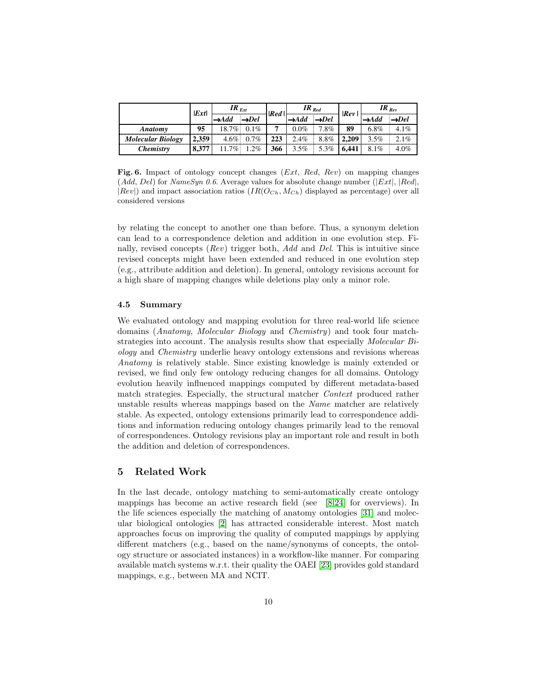|                          | $\left  \boldsymbol{Ext} \right $ | $IR_{Ext}$ |                     | Red | $IR_{Red}$       |      | Rev   | $IR_{Rev}$ |         |
|--------------------------|-----------------------------------|------------|---------------------|-----|------------------|------|-------|------------|---------|
|                          |                                   |            | •Del                |     | <del>∢</del> Add | →Del |       |            | $>$ Del |
| Anatomy                  | 95                                | $18.7\%$   | $0.1\%$             | 7   | 0.0%             | 7.8% | 89    | $6.8\%$    | 4.1%    |
| <b>Molecular Biology</b> | 2,359                             |            | $4.6\% \cdot 0.7\%$ | 223 | 2.4%             | 8.8% | 2.209 | $3.5\%$    | $2.1\%$ |
| Chemistrv                | 8,377                             |            | 2%                  | 366 | $3.5\%$          | 5.3% | 6.441 | $8.1\%$    | $4.0\%$ |

<span id="page-9-1"></span>Fig. 6. Impact of ontology concept changes (*Ext*, *Red, Rev*) on mapping changes (Add, Del) for NameSyn 0.6. Average values for absolute change number ( $|Ext|, |Red|$ ,  $|Rev|$  and impact association ratios  $(IR(O_{Ch}, M_{Ch})$  displayed as percentage) over all considered versions

by relating the concept to another one than before. Thus, a synonym deletion can lead to a correspondence deletion and addition in one evolution step. Finally, revised concepts ( $Rev$ ) trigger both, Add and Del. This is intuitive since revised concepts might have been extended and reduced in one evolution step (e.g., attribute addition and deletion). In general, ontology revisions account for a high share of mapping changes while deletions play only a minor role.

## 4.5 Summary

We evaluated ontology and mapping evolution for three real-world life science domains (Anatomy, Molecular Biology and Chemistry) and took four matchstrategies into account. The analysis results show that especially Molecular Biology and Chemistry underlie heavy ontology extensions and revisions whereas Anatomy is relatively stable. Since existing knowledge is mainly extended or revised, we find only few ontology reducing changes for all domains. Ontology evolution heavily influenced mappings computed by different metadata-based match strategies. Especially, the structural matcher Context produced rather unstable results whereas mappings based on the Name matcher are relatively stable. As expected, ontology extensions primarily lead to correspondence additions and information reducing ontology changes primarily lead to the removal of correspondences. Ontology revisions play an important role and result in both the addition and deletion of correspondences.

## <span id="page-9-0"></span>5 Related Work

In the last decade, ontology matching to semi-automatically create ontology mappings has become an active research field (see [\[8,](#page-11-4)[24\]](#page-11-12) for overviews). In the life sciences especially the matching of anatomy ontologies [\[31\]](#page-11-13) and molecular biological ontologies [\[2\]](#page-10-3) has attracted considerable interest. Most match approaches focus on improving the quality of computed mappings by applying different matchers (e.g., based on the name/synonyms of concepts, the ontology structure or associated instances) in a workflow-like manner. For comparing available match systems w.r.t. their quality the OAEI [\[23\]](#page-11-6) provides gold standard mappings, e.g., between MA and NCIT.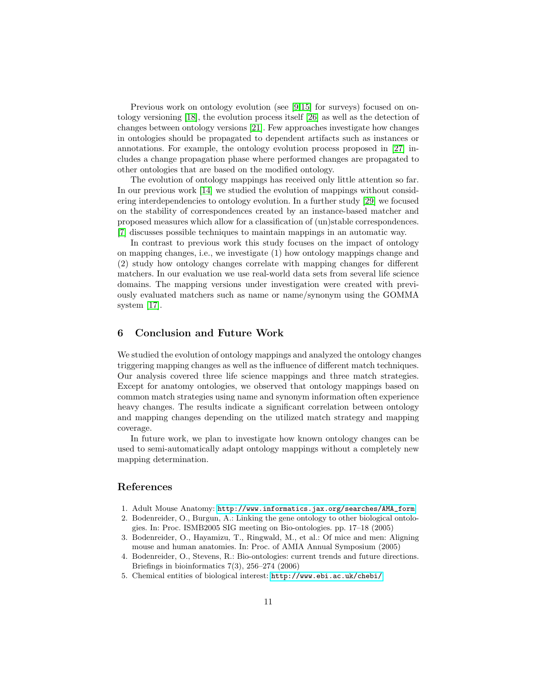Previous work on ontology evolution (see [\[9](#page-11-14)[,15\]](#page-11-15) for surveys) focused on ontology versioning [\[18\]](#page-11-16), the evolution process itself [\[26\]](#page-11-17) as well as the detection of changes between ontology versions [\[21\]](#page-11-18). Few approaches investigate how changes in ontologies should be propagated to dependent artifacts such as instances or annotations. For example, the ontology evolution process proposed in [\[27\]](#page-11-19) includes a change propagation phase where performed changes are propagated to other ontologies that are based on the modified ontology.

The evolution of ontology mappings has received only little attention so far. In our previous work [\[14\]](#page-11-2) we studied the evolution of mappings without considering interdependencies to ontology evolution. In a further study [\[29\]](#page-11-20) we focused on the stability of correspondences created by an instance-based matcher and proposed measures which allow for a classification of (un)stable correspondences. [\[7\]](#page-11-3) discusses possible techniques to maintain mappings in an automatic way.

In contrast to previous work this study focuses on the impact of ontology on mapping changes, i.e., we investigate (1) how ontology mappings change and (2) study how ontology changes correlate with mapping changes for different matchers. In our evaluation we use real-world data sets from several life science domains. The mapping versions under investigation were created with previously evaluated matchers such as name or name/synonym using the GOMMA system [\[17\]](#page-11-21).

## <span id="page-10-1"></span>6 Conclusion and Future Work

We studied the evolution of ontology mappings and analyzed the ontology changes triggering mapping changes as well as the influence of different match techniques. Our analysis covered three life science mappings and three match strategies. Except for anatomy ontologies, we observed that ontology mappings based on common match strategies using name and synonym information often experience heavy changes. The results indicate a significant correlation between ontology and mapping changes depending on the utilized match strategy and mapping coverage.

In future work, we plan to investigate how known ontology changes can be used to semi-automatically adapt ontology mappings without a completely new mapping determination.

# References

- <span id="page-10-0"></span>1. Adult Mouse Anatomy: [http://www.informatics.jax.org/searches/AMA\\_form](http://www.informatics.jax.org/searches/AMA_form)
- <span id="page-10-3"></span>2. Bodenreider, O., Burgun, A.: Linking the gene ontology to other biological ontologies. In: Proc. ISMB2005 SIG meeting on Bio-ontologies. pp. 17–18 (2005)
- 3. Bodenreider, O., Hayamizu, T., Ringwald, M., et al.: Of mice and men: Aligning mouse and human anatomies. In: Proc. of AMIA Annual Symposium (2005)
- 4. Bodenreider, O., Stevens, R.: Bio-ontologies: current trends and future directions. Briefings in bioinformatics  $7(3)$ ,  $256-274$   $(2006)$
- <span id="page-10-2"></span>5. Chemical entities of biological interest: <http://www.ebi.ac.uk/chebi/>